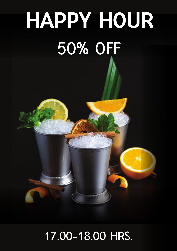# HAPPY HOUR **50% OFF**

### **17.00-18.00 HRS.**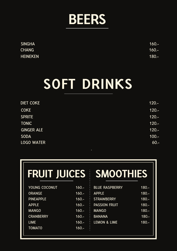

| <b>SINGHA</b>   | $160 -$ |
|-----------------|---------|
| <b>CHANG</b>    | $160 -$ |
| <b>HEINEKEN</b> | $180 -$ |

# SOFT DRINKS

| <b>DIET COKE</b>  | $120 -$   |
|-------------------|-----------|
| <b>COKE</b>       | $120 -$   |
| <b>SPRITE</b>     | $120 -$   |
| <b>TONIC</b>      | $120 -$   |
| <b>GINGER ALE</b> | $120 -$   |
| <b>SODA</b>       | $100 -$   |
| <b>LOGO WATER</b> | $60 -$    |
|                   | $\bullet$ |

|                  | FRUIT JUICES SMOOTHIES |                         |         |
|------------------|------------------------|-------------------------|---------|
|                  |                        |                         |         |
| YOUNG COCONUT    | $160 -$                | <b>BLUE RASPBERRY</b>   | $180 -$ |
| <b>ORANGE</b>    | $160 -$                | <b>APPLE</b>            | $180 -$ |
| <b>PINEAPPLE</b> | $160 -$                | <b>STRAWBERRY</b>       | $180 -$ |
| <b>APPLE</b>     | $160 -$                | <b>PASSION FRUIT</b>    | $180 -$ |
| <b>MANGO</b>     | $160 -$                | <b>MANGO</b>            | $180 -$ |
| <b>CRANBERRY</b> | $160 -$                | <b>BANANA</b>           | $180 -$ |
| <b>LIME</b>      | $160 -$                | <b>LEMON &amp; LIME</b> | $180 -$ |
| <b>TOMATO</b>    | $160 -$                |                         |         |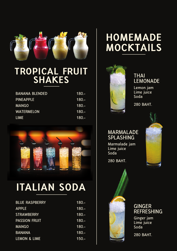

### TROPICAL FRUIT SHAKES

| <b>BANANA BLENDED</b> | $180 -$ |
|-----------------------|---------|
| <b>PINEAPPLE</b>      | $180 -$ |
| <b>MANGO</b>          | $180 -$ |
| <b>WATERMELON</b>     | $180 -$ |
| <b>LIME</b>           | $180 -$ |



### ITALIAN SODA

| $180 -$ |
|---------|
| $180 -$ |
| $180 -$ |
| $180 -$ |
| $180 -$ |
| $180 -$ |
| $150 -$ |
|         |

### HOMEMADE MOCKTAILS



#### **THAI LEMONADE**

**Lemon jam Lime juice Soda**

**280 BAHT.**

#### **MARMALADE SPLASHING**

**Marmalade jam Lime juice Soda**





**280 BAHT.**



**GINGER REFRESHING**

**Ginger jam Lime juice Soda**

**280 BAHT.**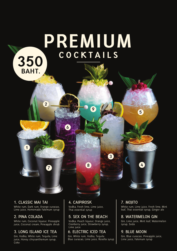### PREMIUM C O C K T A I L S 350

#### **1. CLASSIC MAI TAI**

**TITTER** 

1

BAHT.

2

6

White rum, Dark rum, Orange curacao, Lime juice, Homemade Falemum syrup

#### **2. PINA COLADA**

White rum, Coconut liqueur, Pineapple juice, Coconut cream, Pineapple shrub

#### **3. LONG ISLAND ICE TEA**

Gin, Vodka, White rum, Tequila, Lime juice, Honey chrysanthemum syrup, Coke

#### **4. CAIPIROSK**

Vodka, Fresh lime, Lime juice, Thai essential syrup

#### **5. SEX ON THE BEACH**

Vodka, Peach liqueur, Orange juice, Cranberry juice, Strawberry syrup, Lime juice

#### **6. ELECTRIC ICED TEA**

Gin, White rum, Vodka, Tequila Blue curacao, Lime juice, Rosella syrup

#### **7. MOJITO**

3

<sup>7</sup> <sup>4</sup>

9

8

White rum, Lime juice, Fresh lime, Mint leaf, Thai essential syrup, Ginger ale

5

#### **8. WATERMELON GIN**

Gin, Lime juice, Mint leaf, Watermelon syrup, Soda

#### **9. BLUE MOON**

Gin, Blue curacao, Pineapple juice, Lime juice, Falemum syrup